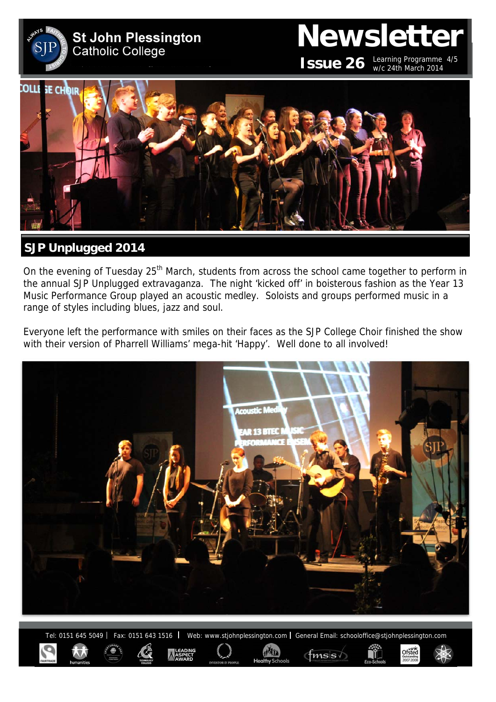

# **Newsletter ISSUE 26** Learning Programme  $4/5$

w/c 24th March 2014

 $\underset{2007}{\text{Of{\textbf{S}\textbf{t}\textbf{e}d}}}$ 



# **SJP Unplugged 2014**

On the evening of Tuesday 25<sup>th</sup> March, students from across the school came together to perform in the annual SJP Unplugged extravaganza. The night 'kicked off' in boisterous fashion as the Year 13 Music Performance Group played an acoustic medley. Soloists and groups performed music in a range of styles including blues, jazz and soul.

Everyone left the performance with smiles on their faces as the SJP College Choir finished the show with their version of Pharrell Williams' mega-hit 'Happy'. Well done to all involved!



Tel: 0151 645 5049 | Fax: 0151 643 1516 | Web: www.stjohnplessington.com | General Email: schooloffice@stjohnplessington.com

 $f$ msis $\sqrt{ }$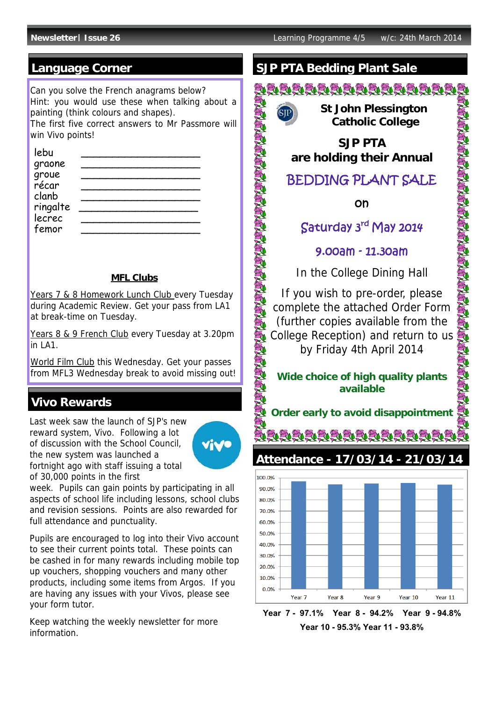### **Language Corner**

Can you solve the French anagrams below? Hint: you would use these when talking about a painting (think colours and shapes). The first five correct answers to Mr Passmore will win Vivo points!

| lebu               |  |
|--------------------|--|
| graone             |  |
| groue<br>récar     |  |
|                    |  |
| clanb              |  |
| ringalte<br>lecrec |  |
|                    |  |
| femor              |  |

#### **MFL Clubs**

Years 7 & 8 Homework Lunch Club every Tuesday during Academic Review. Get your pass from LA1 at break-time on Tuesday.

Years 8 & 9 French Club every Tuesday at 3.20pm  $\ln$  LA1.

World Film Club this Wednesday. Get your passes from MFL3 Wednesday break to avoid missing out!

#### **Vivo Rewards**

reward system, Vivo. Following a lot of discussion with the School Council, the new system was launched a fortnight ago with staff issuing a total of 30,000 points in the first



week. Pupils can gain points by participating in all aspects of school life including lessons, school clubs and revision sessions. Points are also rewarded for full attendance and punctuality.

Pupils are encouraged to log into their Vivo account to see their current points total. These points can be cashed in for many rewards including mobile top up vouchers, shopping vouchers and many other products, including some items from Argos. If you are having any issues with your Vivos, please see your form tutor.

Keep watching the weekly newsletter for more information.

# **SJP PTA Bedding Plant Sale**

<u>DRAAAAAAAAAAA</u>



SA SA SA SA SA SA SA SA

EQ.

ð.

 **St John Plessington Catholic College** 

**SJP PTA are holding their Annual**

# BEDDING PLANT SALE

on

# Saturday 3rd May 2014

SA SA SA SA SA SA SA SA SA SA

9.00am - 11.30am

In the College Dining Hall

If you wish to pre-order, please complete the attached Order Form (further copies available from the College Reception) and return to us by Friday 4th April 2014

#### **Wide choice of high quality plants available**

Last week saw the launch of SJP's new

ă deideide de de devreid **Attendance - 17/03/14 - 21/03/14** 



**Year 7 - 97.1% Year 8 - 94.2% Year 9 - 94.8% Year 10 - 95.3% Year 11 - 93.8%**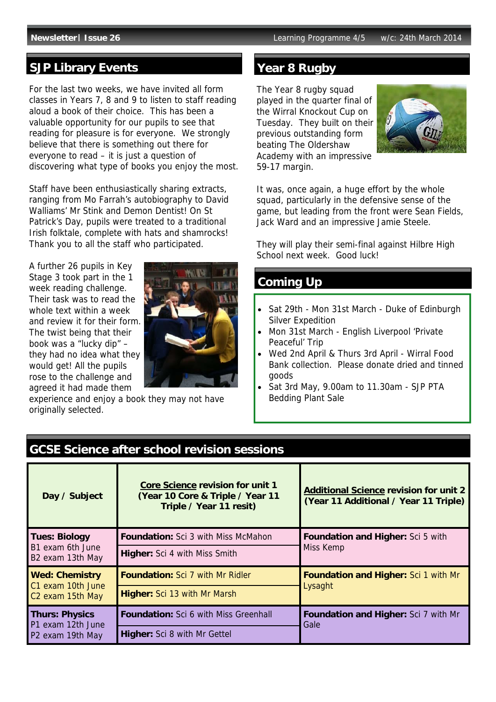## **SJP Library Events**

For the last two weeks, we have invited all form classes in Years 7, 8 and 9 to listen to staff reading aloud a book of their choice. This has been a valuable opportunity for our pupils to see that reading for pleasure is for everyone. We strongly believe that there is something out there for everyone to read – it is just a question of discovering what type of books you enjoy the most.

Staff have been enthusiastically sharing extracts, ranging from Mo Farrah's autobiography to David Walliams' Mr Stink and Demon Dentist! On St Patrick's Day, pupils were treated to a traditional Irish folktale, complete with hats and shamrocks! Thank you to all the staff who participated.

A further 26 pupils in Key Stage 3 took part in the 1 week reading challenge. Their task was to read the whole text within a week and review it for their form. The twist being that their book was a "lucky dip" – they had no idea what they would get! All the pupils rose to the challenge and agreed it had made them



experience and enjoy a book they may not have originally selected.

### **Year 8 Rugby**

The Year 8 rugby squad played in the quarter final of the Wirral Knockout Cup on Tuesday. They built on their previous outstanding form beating The Oldershaw Academy with an impressive 59-17 margin.



It was, once again, a huge effort by the whole squad, particularly in the defensive sense of the game, but leading from the front were Sean Fields, Jack Ward and an impressive Jamie Steele.

They will play their semi-final against Hilbre High School next week. Good luck!

#### **Coming Up**

- Sat 29th Mon 31st March Duke of Edinburgh Silver Expedition
- Mon 31st March English Liverpool 'Private Peaceful' Trip
- Wed 2nd April & Thurs 3rd April Wirral Food Bank collection. Please donate dried and tinned goods
- Sat 3rd May, 9.00am to 11.30am SJP PTA Bedding Plant Sale

| <b>GCSE Science after school revision sessions</b>                         |                                                                                                        |                                                                                        |  |
|----------------------------------------------------------------------------|--------------------------------------------------------------------------------------------------------|----------------------------------------------------------------------------------------|--|
| Day / Subject                                                              | <b>Core Science revision for unit 1</b><br>(Year 10 Core & Triple / Year 11<br>Triple / Year 11 resit) | <b>Additional Science revision for unit 2</b><br>(Year 11 Additional / Year 11 Triple) |  |
| <b>Tues: Biology</b><br>B1 exam 6th June<br>B2 exam 13th May               | <b>Foundation:</b> Sci 3 with Miss McMahon                                                             | <b>Foundation and Higher:</b> Sci 5 with<br>Miss Kemp                                  |  |
|                                                                            | <b>Higher:</b> Sci 4 with Miss Smith                                                                   |                                                                                        |  |
| <b>Wed: Chemistry</b><br>C1 exam 10th June<br>C <sub>2</sub> exam 15th May | <b>Foundation:</b> Sci 7 with Mr Ridler                                                                | <b>Foundation and Higher: Sci 1 with Mr</b><br>Lysaght                                 |  |
|                                                                            | <b>Higher:</b> Sci 13 with Mr Marsh                                                                    |                                                                                        |  |
| <b>Thurs: Physics</b><br>P1 exam 12th June<br>P2 exam 19th May             | <b>Foundation:</b> Sci 6 with Miss Greenhall                                                           | <b>Foundation and Higher:</b> Sci 7 with Mr<br>Gale                                    |  |
|                                                                            | <b>Higher:</b> Sci 8 with Mr Gettel                                                                    |                                                                                        |  |